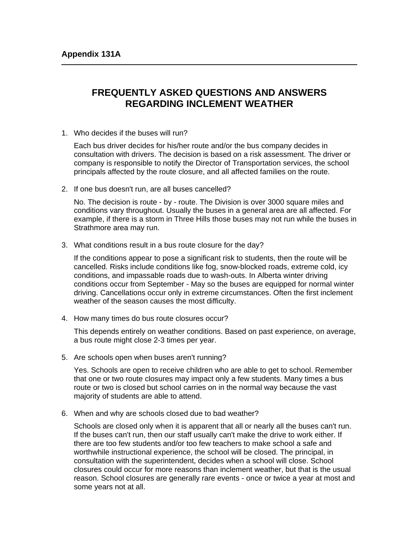## **FREQUENTLY ASKED QUESTIONS AND ANSWERS REGARDING INCLEMENT WEATHER**

1. Who decides if the buses will run?

Each bus driver decides for his/her route and/or the bus company decides in consultation with drivers. The decision is based on a risk assessment. The driver or company is responsible to notify the Director of Transportation services, the school principals affected by the route closure, and all affected families on the route.

2. If one bus doesn't run, are all buses cancelled?

No. The decision is route - by - route. The Division is over 3000 square miles and conditions vary throughout. Usually the buses in a general area are all affected. For example, if there is a storm in Three Hills those buses may not run while the buses in Strathmore area may run.

3. What conditions result in a bus route closure for the day?

If the conditions appear to pose a significant risk to students, then the route will be cancelled. Risks include conditions like fog, snow-blocked roads, extreme cold, icy conditions, and impassable roads due to wash-outs. In Alberta winter driving conditions occur from September - May so the buses are equipped for normal winter driving. Cancellations occur only in extreme circumstances. Often the first inclement weather of the season causes the most difficulty.

4. How many times do bus route closures occur?

This depends entirely on weather conditions. Based on past experience, on average, a bus route might close 2-3 times per year.

5. Are schools open when buses aren't running?

Yes. Schools are open to receive children who are able to get to school. Remember that one or two route closures may impact only a few students. Many times a bus route or two is closed but school carries on in the normal way because the vast majority of students are able to attend.

6. When and why are schools closed due to bad weather?

Schools are closed only when it is apparent that all or nearly all the buses can't run. If the buses can't run, then our staff usually can't make the drive to work either. If there are too few students and/or too few teachers to make school a safe and worthwhile instructional experience, the school will be closed. The principal, in consultation with the superintendent, decides when a school will close. School closures could occur for more reasons than inclement weather, but that is the usual reason. School closures are generally rare events - once or twice a year at most and some years not at all.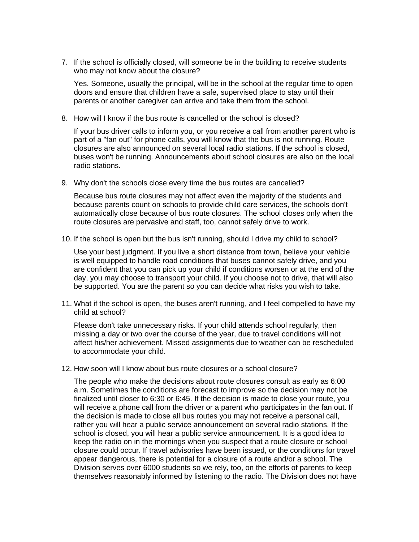7. If the school is officially closed, will someone be in the building to receive students who may not know about the closure?

Yes. Someone, usually the principal, will be in the school at the regular time to open doors and ensure that children have a safe, supervised place to stay until their parents or another caregiver can arrive and take them from the school.

8. How will I know if the bus route is cancelled or the school is closed?

If your bus driver calls to inform you, or you receive a call from another parent who is part of a "fan out" for phone calls, you will know that the bus is not running. Route closures are also announced on several local radio stations. If the school is closed, buses won't be running. Announcements about school closures are also on the local radio stations.

9. Why don't the schools close every time the bus routes are cancelled?

Because bus route closures may not affect even the majority of the students and because parents count on schools to provide child care services, the schools don't automatically close because of bus route closures. The school closes only when the route closures are pervasive and staff, too, cannot safely drive to work.

10. If the school is open but the bus isn't running, should I drive my child to school?

Use your best judgment. If you live a short distance from town, believe your vehicle is well equipped to handle road conditions that buses cannot safely drive, and you are confident that you can pick up your child if conditions worsen or at the end of the day, you may choose to transport your child. If you choose not to drive, that will also be supported. You are the parent so you can decide what risks you wish to take.

11. What if the school is open, the buses aren't running, and I feel compelled to have my child at school?

Please don't take unnecessary risks. If your child attends school regularly, then missing a day or two over the course of the year, due to travel conditions will not affect his/her achievement. Missed assignments due to weather can be rescheduled to accommodate your child.

12. How soon will I know about bus route closures or a school closure?

The people who make the decisions about route closures consult as early as 6:00 a.m. Sometimes the conditions are forecast to improve so the decision may not be finalized until closer to 6:30 or 6:45. If the decision is made to close your route, you will receive a phone call from the driver or a parent who participates in the fan out. If the decision is made to close all bus routes you may not receive a personal call, rather you will hear a public service announcement on several radio stations. If the school is closed, you will hear a public service announcement. It is a good idea to keep the radio on in the mornings when you suspect that a route closure or school closure could occur. If travel advisories have been issued, or the conditions for travel appear dangerous, there is potential for a closure of a route and/or a school. The Division serves over 6000 students so we rely, too, on the efforts of parents to keep themselves reasonably informed by listening to the radio. The Division does not have